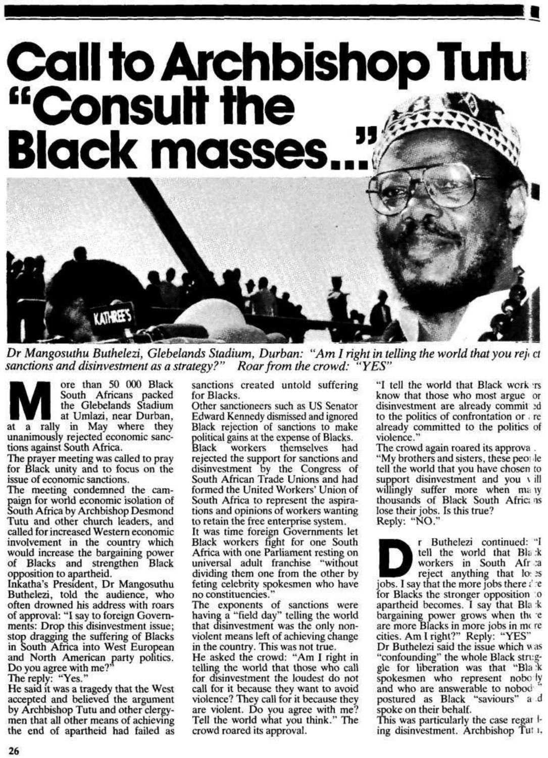## **Call to Archbishop Tutu "Consult the Black masses.**

*Dr Mangosuthu Buthelezi, Glebelands Stadium, Durban: "Am I right in telling the world that you rej< a sanctions and disinvestment as a strategy?" Roar from the crowd: "YES"* 

ore than 50 000 Black South Africans packed the Glebelands Stadium at Umlazi, near Durban, at a rally in May where they unanimously rejected economic sanctions against South Africa.

**KATHREES** 

The prayer meeting was called to pray for Black unity and to focus on the issue of economic sanctions.

The meeting condemned the campaign for world economic isolation of South Africa by Archbishop Desmond Tutu and other church leaders, and called for increased Western economic involvement in the country which would increase the bargaining power of Blacks and strengthen Black opposition to apartheid.

Inkatha's President, Dr Mangosuthu Buthelezi, told the audience, who often drowned his address with roars of approval: "I say to foreign Governof approval. I say to foreign Governments: Drop this disinvestment issue; stop dragging the suffering of Blacks in South Africa into West European and North American party politics. Do you agree with me?"<br>The reply: "Yes."

He said it was a tragedy that the West accepted and believed the argument by Archbishop Tutu and other clergymen that all other means of achieving the end of apartheid had failed as sanctions created untold suffering for Blacks.

Other sanctionecrs such as US Senator Edward Kennedy dismissed and ignored Black rejection of sanctions to make Black workers themselves had olitical gains at the expense of Blacks, rejected the support for sanctions and disinvestment by the Congress of South African Trade Unions and had formed the United Workers' Union of South Africa to represent the aspirations and opinions of workers wanting to retain the free enterprise system.

It was time foreign Governments let Black workers fight for one South Africa with one Parliament resting on universal adult franchise "without dividing them one from the other by feting celebrity spokesmen who have no constituencies."

The exponents of sanctions were having a "field day" telling the world that disinvestment was the only nonviolent means left of achieving change in the country. This was not true.

He asked the crowd: "Am I right in telling the world that those who call for disinvestment the loudest do not call for it because they want to avoid violence? They call for it because they are violent. Do you agree with me? Tell the world what you think." The crowd roared its approval.

"I tell the world that Black work rs know that those who most argue or disinvestment are already commit ed to the politics of confrontation or . re already committed to the politics of violence."

The crowd again roared its approva . "My brothers and sisters, these people tell the world that you have chosen to support disinvestment and you vill willingly suffer more when many thousands of Black South Afric; is lose their jobs. Is this true? Reply. "NO."

**P**r Buthelezi continued: "I<br>tell the world that Bla k<br>workers in South Afr a<br>reject anything that lo: 25<br>obs. I say that the more jobs there are tell the world that Bla k workers in South Afr :a reject anything that loses

jobs. I say that the more jobs there  $i^*e$ for Blacks the stronger opposition  $\infty$ apartheid becomes. 1 say that Bla k bargaining power grows when the e arc more Blacks in more jobs in mc re cities. Am I right?" Reply: "YES"

Dr Buthelezi said the issue which v as "confounding" the whole Black struggle for liberation was that "Bla<sup>\*</sup> spokesmen who represent nobo ly and who are answerable to nobod postured as Black "saviours" a d spoke on their behalf.

This was particularly the case regar  $\frac{1}{2}$ ing disinvestment. Archbishop Tut i,